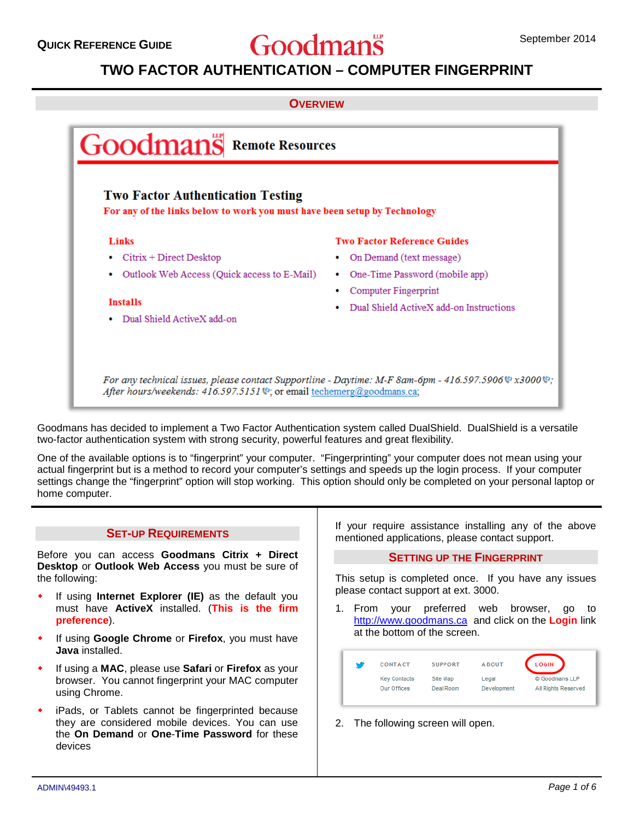# **QUICK REFERENCE GUIDE September 2014** September 2014

# **TWO FACTOR AUTHENTICATION – COMPUTER FINGERPRINT**

#### **OVERVIEW**



Goodmans has decided to implement a Two Factor Authentication system called DualShield. DualShield is a versatile two-factor authentication system with strong security, powerful features and great flexibility.

One of the available options is to "fingerprint" your computer. "Fingerprinting" your computer does not mean using your actual fingerprint but is a method to record your computer's settings and speeds up the login process. If your computer settings change the "fingerprint" option will stop working. This option should only be completed on your personal laptop or home computer.

#### **SET-UP REQUIREMENTS**

Before you can access **Goodmans Citrix + Direct Desktop** or **Outlook Web Access** you must be sure of the following:

- If using **Internet Explorer (IE)** as the default you must have **ActiveX** installed. (**This is the firm preference**).
- If using **Google Chrome** or **Firefox**, you must have **Java** installed.
- If using a **MAC**, please use **Safari** or **Firefox** as your browser. You cannot fingerprint your MAC computer using Chrome.
- iPads, or Tablets cannot be fingerprinted because they are considered mobile devices. You can use the **On Demand** or **One**-**Time Password** for these devices

If your require assistance installing any of the above mentioned applications, please contact support.

#### **SETTING UP THE FINGERPRINT**

This setup is completed once. If you have any issues please contact support at ext. 3000.

1. From your preferred web browser, go to [http://www.goodmans.ca](http://www.goodmans.ca/) and click on the **Login** link at the bottom of the screen.

| м | CONTACT             | <b>SUPPORT</b> | <b>ABOUT</b> | <b>LOGIN</b>        |
|---|---------------------|----------------|--------------|---------------------|
|   | <b>Key Contacts</b> | Site Map       | Legal        | © Goodmans LLP      |
|   | Our Offices         | Deal Room      | Development  | All Rights Reserved |

2. The following screen will open.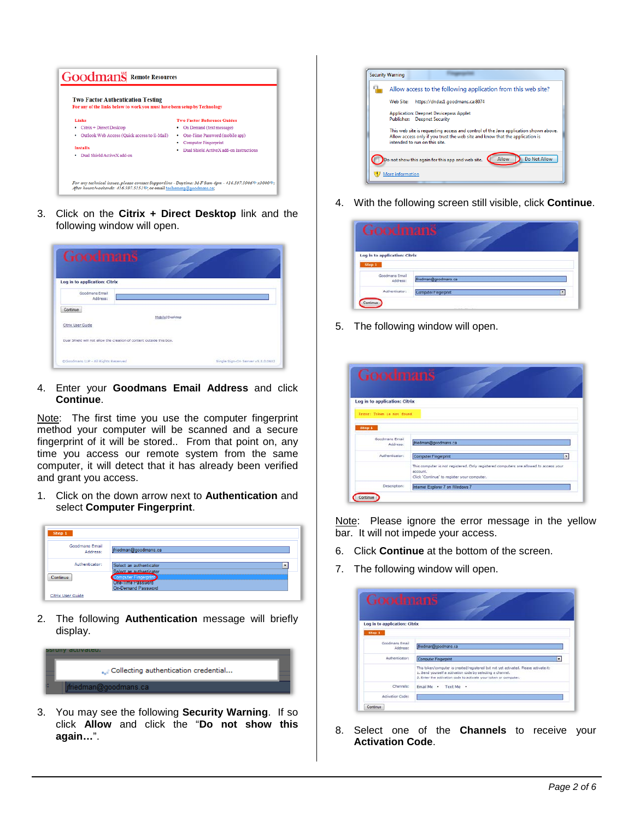

3. Click on the **Citrix + Direct Desktop** link and the following window will open.

| Log in to application: Citrix |                                                                      |  |
|-------------------------------|----------------------------------------------------------------------|--|
| Goodmans Email<br>Address:    |                                                                      |  |
| Continue                      |                                                                      |  |
|                               | Mobile   Desktop                                                     |  |
| Citrix User Guide             |                                                                      |  |
|                               | Dual Shield will not allow the creation of content outside this box. |  |

4. Enter your **Goodmans Email Address** and click **Continue**.

Note: The first time you use the computer fingerprint method your computer will be scanned and a secure fingerprint of it will be stored.. From that point on, any time you access our remote system from the same computer, it will detect that it has already been verified and grant you access.

1. Click on the down arrow next to **Authentication** and select **Computer Fingerprint**.

| <b>Goodmans Email</b> |                             |   |
|-----------------------|-----------------------------|---|
| Address:              | ifriedman@goodmans.ca       |   |
| Authenticator:        | Select an authenticator     | ۰ |
|                       | Select an authenticator     |   |
| Continue              | <b>Computer Fingerprint</b> |   |

2. The following **Authentication** message will briefly display.



3. You may see the following **Security Warning**. If so click **Allow** and click the "**Do not show this again…**".



4. With the following screen still visible, click **Continue**.

| Computer Fingerprint | ×                    |
|----------------------|----------------------|
|                      | friedman@goodmans.ca |

5. The following window will open.

| Goodmans                      |                                                                                       |
|-------------------------------|---------------------------------------------------------------------------------------|
|                               |                                                                                       |
|                               |                                                                                       |
| Log in to application: Citrix |                                                                                       |
| Execut: Token is not found    |                                                                                       |
|                               |                                                                                       |
| Step 1                        |                                                                                       |
| Goodmans Email<br>Address:    | medman@goodmans.ca                                                                    |
| Authenticator:                | Computer Fingerprint<br>×.                                                            |
|                               | This computer is not registered. Only registered computers are allowed to access your |
|                               | account.<br>Click 'Continue' to register your computer.                               |
|                               |                                                                                       |

Note: Please ignore the error message in the yellow bar. It will not impede your access.

- 6. Click **Continue** at the bottom of the screen.
- 7. The following window will open.

| Log in to application: Citrix |                                                                                      |   |
|-------------------------------|--------------------------------------------------------------------------------------|---|
| Step 1                        |                                                                                      |   |
|                               |                                                                                      |   |
| Goodmans Email<br>Address:    | driedman@goodmans.ca                                                                 |   |
| Authenticator:                | Computer Fingerprint                                                                 | ٠ |
|                               | This token/computer is created/registered but not yet activated. Please activate it: |   |
|                               | 1. Send yourself a activation code by selecting a channel.                           |   |
|                               | 2. Enter the activation code to activate your token or computer.                     |   |
| Channels:                     | Fimail Me Text Me .                                                                  |   |
|                               |                                                                                      |   |

8. Select one of the **Channels** to receive your **Activation Code**.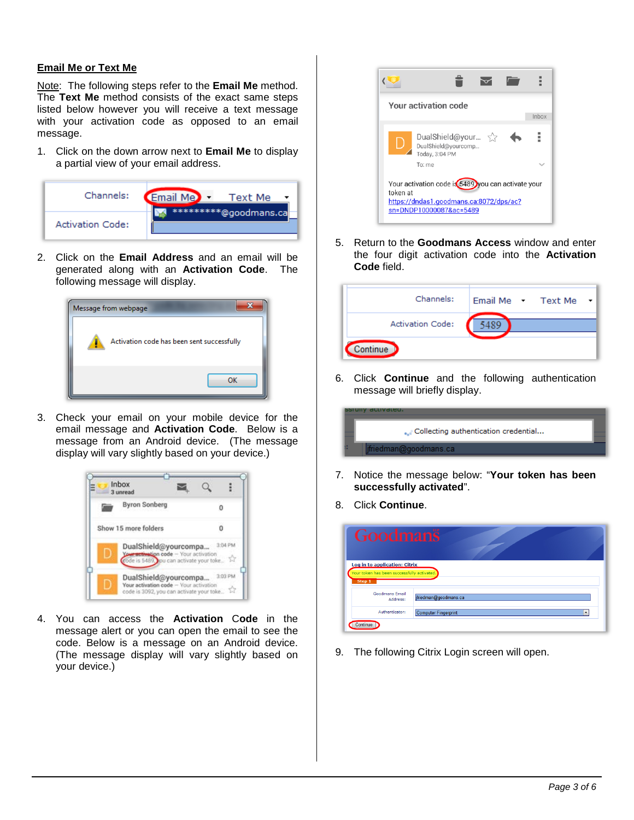#### **Email Me or Text Me**

Note: The following steps refer to the **Email Me** method. The **Text Me** method consists of the exact same steps listed below however you will receive a text message with your activation code as opposed to an email message.

1. Click on the down arrow next to **Email Me** to display a partial view of your email address.



2. Click on the **Email Address** and an email will be generated along with an **Activation Code**. The following message will display.



3. Check your email on your mobile device for the email message and **Activation Code**. Below is a message from an Android device. (The message display will vary slightly based on your device.)



4. You can access the **Activation** C**ode** in the message alert or you can open the email to see the code. Below is a message on an Android device. (The message display will vary slightly based on your device.)



5. Return to the **Goodmans Access** window and enter the four digit activation code into the **Activation Code** field.

| Channels:               | Email Me Text Me |
|-------------------------|------------------|
| <b>Activation Code:</b> |                  |
| Continue                |                  |

6. Click **Continue** and the following authentication message will briefly display.

| duuvateu.                            |  |
|--------------------------------------|--|
| Collecting authentication credential |  |
| jfriedman@goodmans.ca                |  |

- 7. Notice the message below: "**Your token has been successfully activated**".
- 8. Click **Continue**.

| Goodmans                                                                               |                                  |
|----------------------------------------------------------------------------------------|----------------------------------|
| Log in to application: Citrix<br>Your token has been successfully activated.<br>Step 1 |                                  |
| <b>Goodmans Email</b><br>Address:                                                      | jfriedman@goodmans.ca            |
| Authenticator:                                                                         | <b>Computer Fingerprint</b><br>۰ |
| Continue                                                                               |                                  |

9. The following Citrix Login screen will open.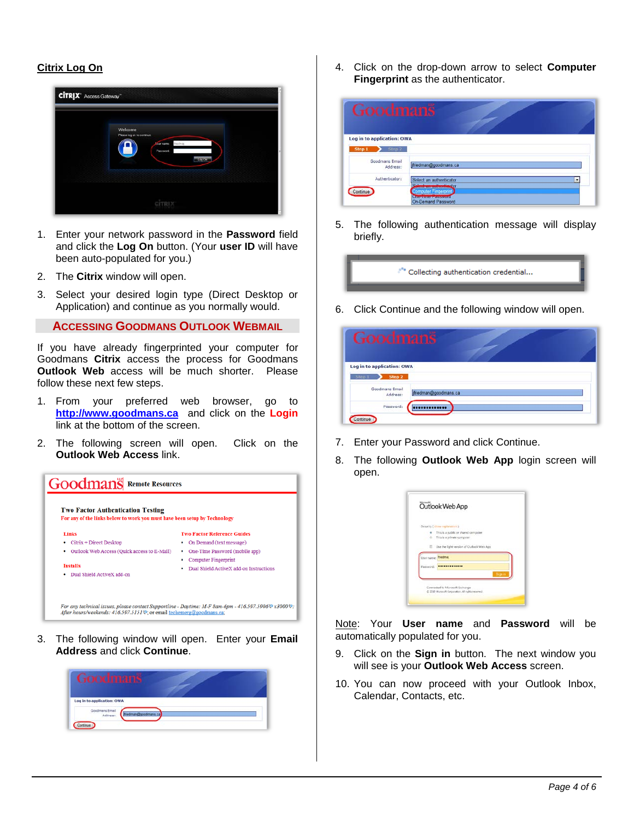# **Citrix Log On**



- 1. Enter your network password in the **Password** field and click the **Log On** button. (Your **user ID** will have been auto-populated for you.)
- 2. The **Citrix** window will open.
- 3. Select your desired login type (Direct Desktop or Application) and continue as you normally would.

**ACCESSING GOODMANS OUTLOOK WEBMAIL**

If you have already fingerprinted your computer for Goodmans **Citrix** access the process for Goodmans **Outlook Web** access will be much shorter. Please follow these next few steps.

- 1. From your preferred web browser, go to **[http://www.goodmans.ca](http://www.goodmans.ca/)** and click on the **Login** link at the bottom of the screen.
- 2. The following screen will open. Click on the **Outlook Web Access** link.



3. The following window will open. Enter your **Email Address** and click **Continue**.



4. Click on the drop-down arrow to select **Computer Fingerprint** as the authenticator.

| Goodmans                                                                                                      |
|---------------------------------------------------------------------------------------------------------------|
|                                                                                                               |
|                                                                                                               |
| Log in to application: OWA                                                                                    |
|                                                                                                               |
| ifriedman@goodmans.ca                                                                                         |
|                                                                                                               |
| Select an authenticator<br>۰<br>Solect an authorities or                                                      |
| <b>Computer Fingerprint</b><br><b><i><u>Outline antibio motive construction</u></i></b><br>On-Demand Password |
|                                                                                                               |

5. The following authentication message will display briefly.



6. Click Continue and the following window will open.

| Goodmans                                       |                       |
|------------------------------------------------|-----------------------|
| Log in to application: OWA                     |                       |
| Step 2<br>Step 1<br>Goodmans Email<br>Address: | ifriedman@goodmans.ca |
| Password:<br>Continue                          |                       |

- 7. Enter your Password and click Continue.
- 8. The following **Outlook Web App** login screen will open.

|            | Security (shine neplatultion)                                          |  |
|------------|------------------------------------------------------------------------|--|
|            | # This is a public or shared computer<br>c) This is a private computer |  |
|            | Use the light version of Outlook Web App                               |  |
| User name: | <b>fractman</b>                                                        |  |
| Fastword:  |                                                                        |  |
|            |                                                                        |  |

Note: Your **User name** and **Password** will be automatically populated for you.

- 9. Click on the **Sign in** button. The next window you will see is your **Outlook Web Access** screen.
- 10. You can now proceed with your Outlook Inbox, Calendar, Contacts, etc.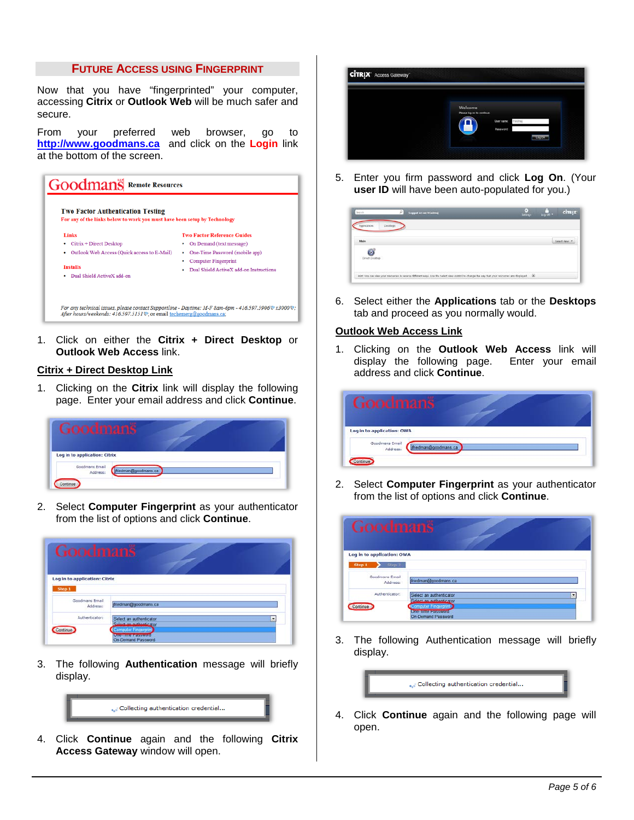### **FUTURE ACCESS USING FINGERPRINT**

Now that you have "fingerprinted" your computer, accessing **Citrix** or **Outlook Web** will be much safer and secure.

From your preferred web browser, go to **http://www.goodmans.ca** and click on the **Login** link at the bottom of the screen.



1. Click on either the **Citrix + Direct Desktop** or **Outlook Web Access** link.

## **Citrix + Direct Desktop Link**

1. Clicking on the **Citrix** link will display the following page. Enter your email address and click **Continue**.

| Goodmans                      |              |  |
|-------------------------------|--------------|--|
|                               |              |  |
| Log in to application: Citrix |              |  |
| Goodmans Email<br>Address:    | nan@goodmans |  |
|                               |              |  |

2. Select **Computer Fingerprint** as your authenticator from the list of options and click **Continue**.

| Goodmans                      |                                                            |
|-------------------------------|------------------------------------------------------------|
| Log in to application: Citrix |                                                            |
| Step 1                        |                                                            |
| Goodmans Email<br>Address:    | driedman@goodmans.ca                                       |
| Authenticator:                | Select an authenticator<br><b>Salast an authority stor</b> |
|                               | <b>Computer Fingerprint</b>                                |
|                               | <b>Chemines Farmers</b><br>On-Demand Password              |

3. The following **Authentication** message will briefly display.



4. Click **Continue** again and the following **Citrix Access Gateway** window will open.



5. Enter you firm password and click **Log On**. (Your **user ID** will have been auto-populated for you.)

| <b>Search</b>        | P<br>Logged on as: friedmap                                                                                                                      | 6<br>$\frac{1}{\log 20}$<br><b>CITRIX</b><br>Settings |
|----------------------|--------------------------------------------------------------------------------------------------------------------------------------------------|-------------------------------------------------------|
| <b>Applications</b>  | Desitions                                                                                                                                        |                                                       |
| Main                 |                                                                                                                                                  |                                                       |
| ۵<br>Direct Disiblep |                                                                                                                                                  |                                                       |
|                      | Hint: You can view your resources in several different ways. Use the Select view control to change the way that your resources are displayed. 26 |                                                       |

6. Select either the **Applications** tab or the **Desktops** tab and proceed as you normally would.

#### **Outlook Web Access Link**

1. Clicking on the **Outlook Web Access** link will display the following page. Enter your email address and click **Continue**.

| Goodmanš                   |                 |  |
|----------------------------|-----------------|--|
| Log in to application: OWA |                 |  |
| Goodmans Email<br>Address: | man@goodmans.ca |  |

2. Select **Computer Fingerprint** as your authenticator from the list of options and click **Continue**.

| Goodmans                   |                                                                            |
|----------------------------|----------------------------------------------------------------------------|
| Log in to application: OWA |                                                                            |
| $Step 1$ $Step 2$          |                                                                            |
| Goodmans Email<br>Address: | jfriedman@goodmans.ca                                                      |
| Authenticator:             | Select an authenticator<br>Select an authenticator                         |
| Continue                   | Computer Fingerprint<br>Canon union causeward<br><b>On-Demand Password</b> |

3. The following Authentication message will briefly display.



4. Click **Continue** again and the following page will open.